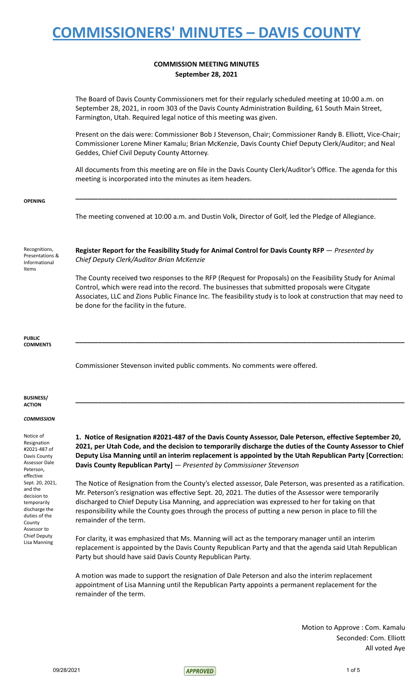## **COMMISSION MEETING MINUTES September 28, 2021**

|                                                                                                                                  | JENEIIINEI ZO, ZUZI                                                                                                                                                                                                                                                                                                                                                                                                                                           |
|----------------------------------------------------------------------------------------------------------------------------------|---------------------------------------------------------------------------------------------------------------------------------------------------------------------------------------------------------------------------------------------------------------------------------------------------------------------------------------------------------------------------------------------------------------------------------------------------------------|
|                                                                                                                                  | The Board of Davis County Commissioners met for their regularly scheduled meeting at 10:00 a.m. on<br>September 28, 2021, in room 303 of the Davis County Administration Building, 61 South Main Street,<br>Farmington, Utah. Required legal notice of this meeting was given.                                                                                                                                                                                |
|                                                                                                                                  | Present on the dais were: Commissioner Bob J Stevenson, Chair; Commissioner Randy B. Elliott, Vice-Chair;<br>Commissioner Lorene Miner Kamalu; Brian McKenzie, Davis County Chief Deputy Clerk/Auditor; and Neal<br>Geddes, Chief Civil Deputy County Attorney.                                                                                                                                                                                               |
|                                                                                                                                  | All documents from this meeting are on file in the Davis County Clerk/Auditor's Office. The agenda for this<br>meeting is incorporated into the minutes as item headers.                                                                                                                                                                                                                                                                                      |
| <b>OPENING</b>                                                                                                                   |                                                                                                                                                                                                                                                                                                                                                                                                                                                               |
|                                                                                                                                  | The meeting convened at 10:00 a.m. and Dustin Volk, Director of Golf, led the Pledge of Allegiance.                                                                                                                                                                                                                                                                                                                                                           |
| Recognitions,<br>Presentations &<br>Informational<br>Items                                                                       | Register Report for the Feasibility Study for Animal Control for Davis County RFP - Presented by<br>Chief Deputy Clerk/Auditor Brian McKenzie                                                                                                                                                                                                                                                                                                                 |
|                                                                                                                                  | The County received two responses to the RFP (Request for Proposals) on the Feasibility Study for Animal<br>Control, which were read into the record. The businesses that submitted proposals were Citygate<br>Associates, LLC and Zions Public Finance Inc. The feasibility study is to look at construction that may need to<br>be done for the facility in the future.                                                                                     |
| <b>PUBLIC</b><br><b>COMMENTS</b>                                                                                                 |                                                                                                                                                                                                                                                                                                                                                                                                                                                               |
|                                                                                                                                  | Commissioner Stevenson invited public comments. No comments were offered.                                                                                                                                                                                                                                                                                                                                                                                     |
| <b>BUSINESS/</b><br><b>ACTION</b>                                                                                                |                                                                                                                                                                                                                                                                                                                                                                                                                                                               |
| <b>COMMISSION</b>                                                                                                                |                                                                                                                                                                                                                                                                                                                                                                                                                                                               |
| Notice of<br>Resignation<br>#2021-487 of<br>Davis County<br><b>Assessor Dale</b><br>Peterson,                                    | 1. Notice of Resignation #2021-487 of the Davis County Assessor, Dale Peterson, effective September 20,<br>2021, per Utah Code, and the decision to temporarily discharge the duties of the County Assessor to Chief<br>Deputy Lisa Manning until an interim replacement is appointed by the Utah Republican Party [Correction:<br>Davis County Republican Party] - Presented by Commissioner Stevenson                                                       |
| effective<br>Sept. 20, 2021,<br>and the<br>decision to<br>temporarily<br>discharge the<br>duties of the<br>County<br>Assessor to | The Notice of Resignation from the County's elected assessor, Dale Peterson, was presented as a ratification.<br>Mr. Peterson's resignation was effective Sept. 20, 2021. The duties of the Assessor were temporarily<br>discharged to Chief Deputy Lisa Manning, and appreciation was expressed to her for taking on that<br>responsibility while the County goes through the process of putting a new person in place to fill the<br>remainder of the term. |
| <b>Chief Deputy</b><br>Lisa Manning                                                                                              | For clarity, it was emphasized that Ms. Manning will act as the temporary manager until an interim<br>replacement is appointed by the Davis County Republican Party and that the agenda said Utah Republican<br>Party but should have said Davis County Republican Party.                                                                                                                                                                                     |
|                                                                                                                                  | A motion was made to support the resignation of Dale Peterson and also the interim replacement<br>appointment of Lisa Manning until the Republican Party appoints a permanent replacement for the<br>remainder of the term.                                                                                                                                                                                                                                   |
|                                                                                                                                  |                                                                                                                                                                                                                                                                                                                                                                                                                                                               |

Motion to Approve : Com. Kamalu Seconded: Com. Elliott All voted Aye

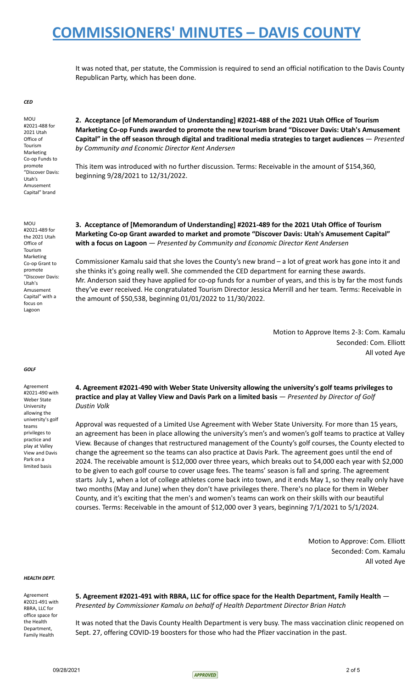It was noted that, per statute, the Commission is required to send an official notification to the Davis County Republican Party, which has been done.

#### *CED*

MOU #2021-488 for 2021 Utah Office of Tourism Marketing Co-op Funds to promote "Discover Davis: Utah's Amusement Capital" brand

**2. Acceptance [of Memorandum of Understanding] #2021-488 of the 2021 Utah Office of Tourism Marketing Co-op Funds awarded to promote the new tourism brand "Discover Davis: Utah's Amusement Capital" in the off season through digital and traditional media strategies to target audiences** — *Presented by Community and Economic Director Kent Andersen*

This item was introduced with no further discussion. Terms: Receivable in the amount of \$154,360, beginning 9/28/2021 to 12/31/2022.

MOU #2021-489 for the 2021 Utah Office of Tourism Marketing Co-op Grant to promote "Discover Davis: Utah's Amusement Capital" with a focus on Lagoon

### **3. Acceptance of [Memorandum of Understanding] #2021-489 for the 2021 Utah Office of Tourism Marketing Co-op Grant awarded to market and promote "Discover Davis: Utah's Amusement Capital" with a focus on Lagoon** — *Presented by Community and Economic Director Kent Andersen*

Commissioner Kamalu said that she loves the County's new brand – a lot of great work has gone into it and she thinks it's going really well. She commended the CED department for earning these awards. Mr. Anderson said they have applied for co-op funds for a number of years, and this is by far the most funds they've ever received. He congratulated Tourism Director Jessica Merrill and her team. Terms: Receivable in the amount of \$50,538, beginning 01/01/2022 to 11/30/2022.

> Motion to Approve Items 2-3: Com. Kamalu Seconded: Com. Elliott All voted Aye

### *GOLF*

Agreement #2021-490 with Weber State University allowing the university's golf teams privileges to practice and play at Valley View and Davis Park on a limited basis

**4. Agreement #2021-490 with Weber State University allowing the university's golf teams privileges to practice and play at Valley View and Davis Park on a limited basis** — *Presented by Director of Golf Dustin Volk*

Approval was requested of a Limited Use Agreement with Weber State University. For more than 15 years, an agreement has been in place allowing the university's men's and women's golf teams to practice at Valley View. Because of changes that restructured management of the County's golf courses, the County elected to change the agreement so the teams can also practice at Davis Park. The agreement goes until the end of 2024. The receivable amount is \$12,000 over three years, which breaks out to \$4,000 each year with \$2,000 to be given to each golf course to cover usage fees. The teams' season is fall and spring. The agreement starts July 1, when a lot of college athletes come back into town, and it ends May 1, so they really only have two months (May and June) when they don't have privileges there. There's no place for them in Weber County, and it's exciting that the men's and women's teams can work on their skills with our beautiful courses. Terms: Receivable in the amount of \$12,000 over 3 years, beginning 7/1/2021 to 5/1/2024.

> Motion to Approve: Com. Elliott Seconded: Com. Kamalu All voted Aye

### *HEALTH DEPT.*

Agreement #2021-491 with RBRA, LLC for office space for the Health Department, Family Health

**5. Agreement #2021-491 with RBRA, LLC for office space for the Health Department, Family Health** — *Presented by Commissioner Kamalu on behalf of Health Department Director Brian Hatch*

It was noted that the Davis County Health Department is very busy. The mass vaccination clinic reopened on Sept. 27, offering COVID-19 boosters for those who had the Pfizer vaccination in the past.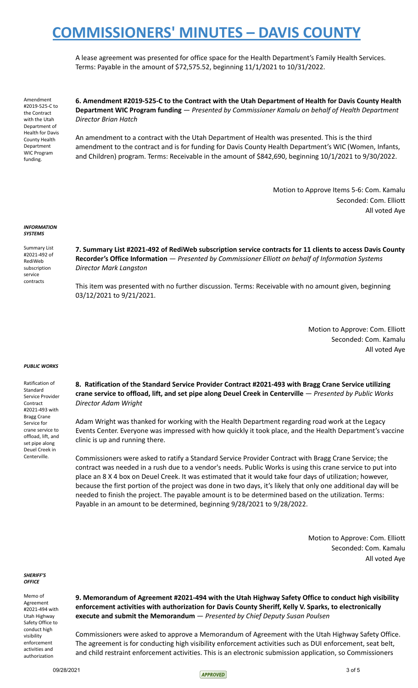A lease agreement was presented for office space for the Health Department's Family Health Services. Terms: Payable in the amount of \$72,575.52, beginning 11/1/2021 to 10/31/2022.

Amendment #2019-525-C to the Contract with the Utah Department of Health for Davis County Health Department WIC Program funding.

**6. Amendment #2019-525-C to the Contract with the Utah Department of Health for Davis County Health Department WIC Program funding** — *Presented by Commissioner Kamalu on behalf of Health Department Director Brian Hatch*

An amendment to a contract with the Utah Department of Health was presented. This is the third amendment to the contract and is for funding for Davis County Health Department's WIC (Women, Infants, and Children) program. Terms: Receivable in the amount of \$842,690, beginning 10/1/2021 to 9/30/2022.

> Motion to Approve Items 5-6: Com. Kamalu Seconded: Com. Elliott All voted Aye

#### *INFORMATION SYSTEMS*

Summary List #2021-492 of RediWeb subscription service contracts

**7. Summary List #2021-492 of RediWeb subscription service contracts for 11 clients to access Davis County Recorder's Office Information** — *Presented by Commissioner Elliott on behalf of Information Systems Director Mark Langston*

This item was presented with no further discussion. Terms: Receivable with no amount given, beginning 03/12/2021 to 9/21/2021.

> Motion to Approve: Com. Elliott Seconded: Com. Kamalu All voted Aye

### *PUBLIC WORKS*

Ratification of Standard Service Provider Contract #2021-493 with Bragg Crane Service for crane service to offload, lift, and set pipe along Deuel Creek in Centerville.

**8. Ratification of the Standard Service Provider Contract #2021-493 with Bragg Crane Service utilizing crane service to offload, lift, and set pipe along Deuel Creek in Centerville** — *Presented by Public Works Director Adam Wright*

Adam Wright was thanked for working with the Health Department regarding road work at the Legacy Events Center. Everyone was impressed with how quickly it took place, and the Health Department's vaccine clinic is up and running there.

Commissioners were asked to ratify a Standard Service Provider Contract with Bragg Crane Service; the contract was needed in a rush due to a vendor's needs. Public Works is using this crane service to put into place an 8 X 4 box on Deuel Creek. It was estimated that it would take four days of utilization; however, because the first portion of the project was done in two days, it's likely that only one additional day will be needed to finish the project. The payable amount is to be determined based on the utilization. Terms: Payable in an amount to be determined, beginning 9/28/2021 to 9/28/2022.

> Motion to Approve: Com. Elliott Seconded: Com. Kamalu All voted Aye

*SHERIFF'S OFFICE*

Memo of Agreement #2021-494 with Utah Highway Safety Office to conduct high visibility enforcement activities and authorization

**9. Memorandum of Agreement #2021-494 with the Utah Highway Safety Office to conduct high visibility enforcement activities with authorization for Davis County Sheriff, Kelly V. Sparks, to electronically execute and submit the Memorandum** — *Presented by Chief Deputy Susan Poulsen*

Commissioners were asked to approve a Memorandum of Agreement with the Utah Highway Safety Office. The agreement is for conducting high visibility enforcement activities such as DUI enforcement, seat belt, and child restraint enforcement activities. This is an electronic submission application, so Commissioners

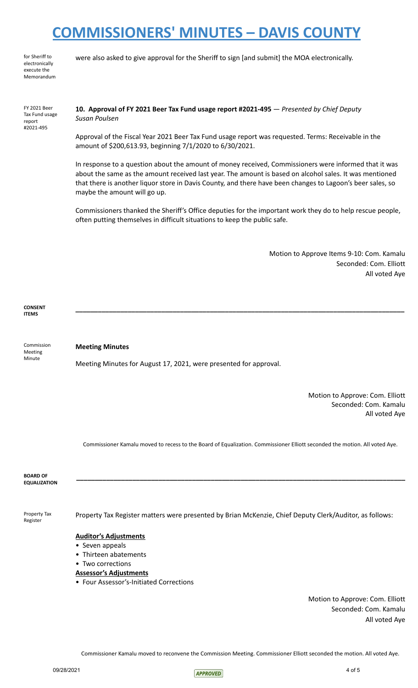for Sheriff to electronically execute the Memorandum were also asked to give approval for the Sheriff to sign [and submit] the MOA electronically.

| FY 2021 Beer   |  |
|----------------|--|
| Tax Fund usage |  |
| report         |  |
| #2021-495      |  |
|                |  |

## **10. Approval of FY 2021 Beer Tax Fund usage report #2021-495** — *Presented by Chief Deputy Susan Poulsen*

Approval of the Fiscal Year 2021 Beer Tax Fund usage report was requested. Terms: Receivable in the amount of \$200,613.93, beginning 7/1/2020 to 6/30/2021.

In response to a question about the amount of money received, Commissioners were informed that it was about the same as the amount received last year. The amount is based on alcohol sales. It was mentioned that there is another liquor store in Davis County, and there have been changes to Lagoon's beer sales, so maybe the amount will go up.

Commissioners thanked the Sheriff's Office deputies for the important work they do to help rescue people, often putting themselves in difficult situations to keep the public safe.

**\_\_\_\_\_\_\_\_\_\_\_\_\_\_\_\_\_\_\_\_\_\_\_\_\_\_\_\_\_\_\_\_\_\_\_\_\_\_\_\_\_\_\_\_\_\_\_\_\_\_\_\_\_\_\_\_\_\_\_\_\_\_\_\_\_\_\_\_\_\_\_\_\_\_\_\_\_\_\_\_\_\_\_\_\_\_\_\_**

Motion to Approve Items 9-10: Com. Kamalu Seconded: Com. Elliott All voted Aye

**CONSENT ITEMS**

Commission Meeting Minute

## **Meeting Minutes**

Meeting Minutes for August 17, 2021, were presented for approval.

Motion to Approve: Com. Elliott Seconded: Com. Kamalu All voted Aye

Commissioner Kamalu moved to recess to the Board of Equalization. Commissioner Elliott seconded the motion. All voted Aye.

**\_\_\_\_\_\_\_\_\_\_\_\_\_\_\_\_\_\_\_\_\_\_\_\_\_\_\_\_\_\_\_\_\_\_\_\_\_\_\_\_\_\_\_\_\_\_\_\_\_\_\_\_\_\_\_\_\_\_\_\_\_\_\_\_\_\_\_\_\_\_\_\_\_\_\_\_\_\_\_\_\_\_\_\_\_\_\_\_**

**BOARD OF EQUALIZATION**

Property Tax Register

Property Tax Register matters were presented by Brian McKenzie, Chief Deputy Clerk/Auditor, as follows:

### **Auditor's Adjustments**

- Seven appeals
- Thirteen abatements
- Two corrections

### **Assessor's Adjustments**

• Four Assessor's-Initiated Corrections

Motion to Approve: Com. Elliott Seconded: Com. Kamalu All voted Aye

Commissioner Kamalu moved to reconvene the Commission Meeting. Commissioner Elliott seconded the motion. All voted Aye.